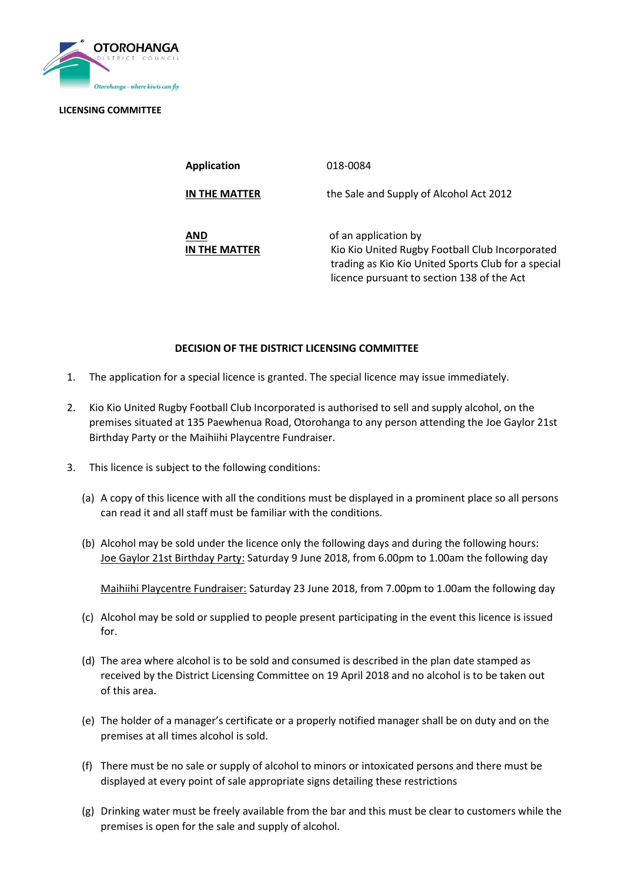

 **LICENSING COMMITTEE**

**Application** 018-0084

**IN THE MATTER** the Sale and Supply of Alcohol Act 2012

**AND** of an application by **IN THE MATTER** Kio Kio United Rugby Football Club Incorporated trading as Kio Kio United Sports Club for a special licence pursuant to section 138 of the Act

## **DECISION OF THE DISTRICT LICENSING COMMITTEE**

- 1. The application for a special licence is granted. The special licence may issue immediately.
- 2. Kio Kio United Rugby Football Club Incorporated is authorised to sell and supply alcohol, on the premises situated at 135 Paewhenua Road, Otorohanga to any person attending the Joe Gaylor 21st Birthday Party or the Maihiihi Playcentre Fundraiser.
- 3. This licence is subject to the following conditions:
	- (a) A copy of this licence with all the conditions must be displayed in a prominent place so all persons can read it and all staff must be familiar with the conditions.
	- (b) Alcohol may be sold under the licence only the following days and during the following hours: Joe Gaylor 21st Birthday Party: Saturday 9 June 2018, from 6.00pm to 1.00am the following day

Maihiihi Playcentre Fundraiser: Saturday 23 June 2018, from 7.00pm to 1.00am the following day

- (c) Alcohol may be sold or supplied to people present participating in the event this licence is issued for.
- (d) The area where alcohol is to be sold and consumed is described in the plan date stamped as received by the District Licensing Committee on 19 April 2018 and no alcohol is to be taken out of this area.
- (e) The holder of a manager's certificate or a properly notified manager shall be on duty and on the premises at all times alcohol is sold.
- (f) There must be no sale or supply of alcohol to minors or intoxicated persons and there must be displayed at every point of sale appropriate signs detailing these restrictions
- (g) Drinking water must be freely available from the bar and this must be clear to customers while the premises is open for the sale and supply of alcohol.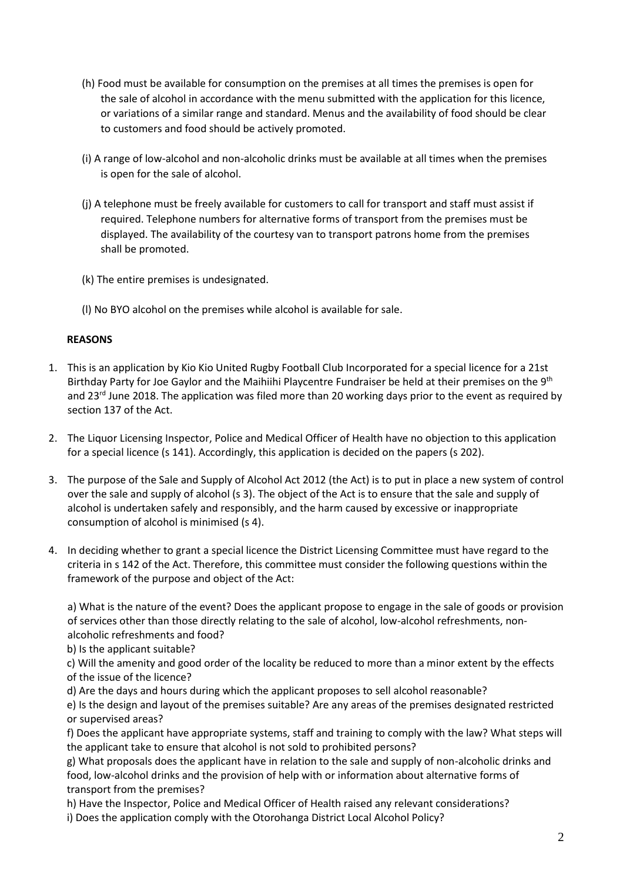- (h) Food must be available for consumption on the premises at all times the premises is open for the sale of alcohol in accordance with the menu submitted with the application for this licence, or variations of a similar range and standard. Menus and the availability of food should be clear to customers and food should be actively promoted.
- (i) A range of low-alcohol and non-alcoholic drinks must be available at all times when the premises is open for the sale of alcohol.
- (j) A telephone must be freely available for customers to call for transport and staff must assist if required. Telephone numbers for alternative forms of transport from the premises must be displayed. The availability of the courtesy van to transport patrons home from the premises shall be promoted.
- (k) The entire premises is undesignated.
- (l) No BYO alcohol on the premises while alcohol is available for sale.

## **REASONS**

- 1. This is an application by Kio Kio United Rugby Football Club Incorporated for a special licence for a 21st Birthday Party for Joe Gaylor and the Maihiihi Playcentre Fundraiser be held at their premises on the 9<sup>th</sup> and 23<sup>rd</sup> June 2018. The application was filed more than 20 working days prior to the event as required by section 137 of the Act.
- 2. The Liquor Licensing Inspector, Police and Medical Officer of Health have no objection to this application for a special licence (s 141). Accordingly, this application is decided on the papers (s 202).
- 3. The purpose of the Sale and Supply of Alcohol Act 2012 (the Act) is to put in place a new system of control over the sale and supply of alcohol (s 3). The object of the Act is to ensure that the sale and supply of alcohol is undertaken safely and responsibly, and the harm caused by excessive or inappropriate consumption of alcohol is minimised (s 4).
- 4. In deciding whether to grant a special licence the District Licensing Committee must have regard to the criteria in s 142 of the Act. Therefore, this committee must consider the following questions within the framework of the purpose and object of the Act:

a) What is the nature of the event? Does the applicant propose to engage in the sale of goods or provision of services other than those directly relating to the sale of alcohol, low-alcohol refreshments, nonalcoholic refreshments and food?

b) Is the applicant suitable?

c) Will the amenity and good order of the locality be reduced to more than a minor extent by the effects of the issue of the licence?

d) Are the days and hours during which the applicant proposes to sell alcohol reasonable?

e) Is the design and layout of the premises suitable? Are any areas of the premises designated restricted or supervised areas?

f) Does the applicant have appropriate systems, staff and training to comply with the law? What steps will the applicant take to ensure that alcohol is not sold to prohibited persons?

g) What proposals does the applicant have in relation to the sale and supply of non-alcoholic drinks and food, low-alcohol drinks and the provision of help with or information about alternative forms of transport from the premises?

h) Have the Inspector, Police and Medical Officer of Health raised any relevant considerations? i) Does the application comply with the Otorohanga District Local Alcohol Policy?